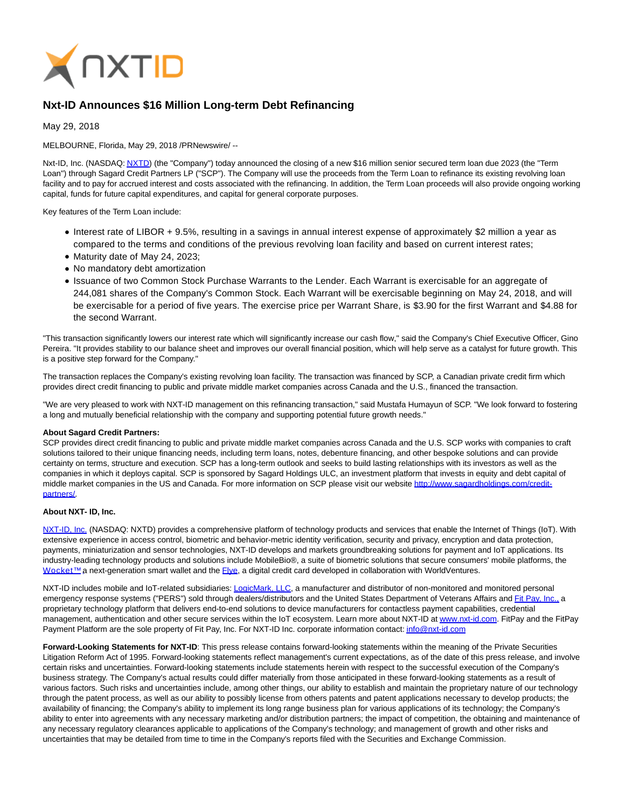

## **Nxt-ID Announces \$16 Million Long-term Debt Refinancing**

May 29, 2018

MELBOURNE, Florida, May 29, 2018 /PRNewswire/ --

Nxt-ID, Inc. (NASDAQ[: NXTD\)](https://finance.yahoo.com/q?s=nxtd) (the "Company") today announced the closing of a new \$16 million senior secured term loan due 2023 (the "Term Loan") through Sagard Credit Partners LP ("SCP"). The Company will use the proceeds from the Term Loan to refinance its existing revolving loan facility and to pay for accrued interest and costs associated with the refinancing. In addition, the Term Loan proceeds will also provide ongoing working capital, funds for future capital expenditures, and capital for general corporate purposes.

Key features of the Term Loan include:

- Interest rate of LIBOR + 9.5%, resulting in a savings in annual interest expense of approximately \$2 million a year as compared to the terms and conditions of the previous revolving loan facility and based on current interest rates;
- Maturity date of May 24, 2023;
- No mandatory debt amortization
- Issuance of two Common Stock Purchase Warrants to the Lender. Each Warrant is exercisable for an aggregate of 244,081 shares of the Company's Common Stock. Each Warrant will be exercisable beginning on May 24, 2018, and will be exercisable for a period of five years. The exercise price per Warrant Share, is \$3.90 for the first Warrant and \$4.88 for the second Warrant.

"This transaction significantly lowers our interest rate which will significantly increase our cash flow," said the Company's Chief Executive Officer, Gino Pereira. "It provides stability to our balance sheet and improves our overall financial position, which will help serve as a catalyst for future growth. This is a positive step forward for the Company."

The transaction replaces the Company's existing revolving loan facility. The transaction was financed by SCP, a Canadian private credit firm which provides direct credit financing to public and private middle market companies across Canada and the U.S., financed the transaction.

"We are very pleased to work with NXT-ID management on this refinancing transaction," said Mustafa Humayun of SCP. "We look forward to fostering a long and mutually beneficial relationship with the company and supporting potential future growth needs."

## **About Sagard Credit Partners:**

SCP provides direct credit financing to public and private middle market companies across Canada and the U.S. SCP works with companies to craft solutions tailored to their unique financing needs, including term loans, notes, debenture financing, and other bespoke solutions and can provide certainty on terms, structure and execution. SCP has a long-term outlook and seeks to build lasting relationships with its investors as well as the companies in which it deploys capital. SCP is sponsored by Sagard Holdings ULC, an investment platform that invests in equity and debt capital of middle market companies in the US and Canada. For more information on SCP please visit our website [http://www.sagardholdings.com/credit](https://www.globenewswire.com/Tracker?data=fk3cWEQwxTR5u9Lr-n-XGW5SyPwjG2INSMX_QkbKEiHT_As9MFW_XSUjrxhvei3ySqRQAKVCRvptqG249-9XOVqYzw247yyhFV3c2MmYyRuzZYQP3R1bcXQuIZhY8e9_loplGDiDYmqXQIXY9ietVZajh0BzixcfY0siGhC9N_E=)partners/.

## **About NXT- ID, Inc.**

[NXT-ID, Inc. \(](http://www.nxt-id.com/)NASDAQ: NXTD) provides a comprehensive platform of technology products and services that enable the Internet of Things (IoT). With extensive experience in access control, biometric and behavior-metric identity verification, security and privacy, encryption and data protection, payments, miniaturization and sensor technologies, NXT-ID develops and markets groundbreaking solutions for payment and IoT applications. Its industry-leading technology products and solutions include MobileBio®, a suite of biometric solutions that secure consumers' mobile platforms, the Wocket™ a next-generation smart wallet and the *Flye*, a digital credit card developed in collaboration with WorldVentures.

NXT-ID includes mobile and IoT-related subsidiaries[: LogicMark, LLC,](https://www.logicmark.com/) a manufacturer and distributor of non-monitored and monitored personal emergency response systems ("PERS") sold through dealers/distributors and the United States Department of Veterans Affairs an[d Fit Pay, Inc., a](http://www.fit-pay.com/) proprietary technology platform that delivers end-to-end solutions to device manufacturers for contactless payment capabilities, credential management, authentication and other secure services within the IoT ecosystem. Learn more about NXT-ID at [www.nxt-id.com.](http://www.nxt-id.com/) FitPay and the FitPay Payment Platform are the sole property of Fit Pay, Inc. For NXT-ID Inc. corporate information contact[: info@nxt-id.com](mailto:info@nxt-id.com)

**Forward-Looking Statements for NXT-ID**: This press release contains forward-looking statements within the meaning of the Private Securities Litigation Reform Act of 1995. Forward-looking statements reflect management's current expectations, as of the date of this press release, and involve certain risks and uncertainties. Forward-looking statements include statements herein with respect to the successful execution of the Company's business strategy. The Company's actual results could differ materially from those anticipated in these forward-looking statements as a result of various factors. Such risks and uncertainties include, among other things, our ability to establish and maintain the proprietary nature of our technology through the patent process, as well as our ability to possibly license from others patents and patent applications necessary to develop products; the availability of financing; the Company's ability to implement its long range business plan for various applications of its technology; the Company's ability to enter into agreements with any necessary marketing and/or distribution partners; the impact of competition, the obtaining and maintenance of any necessary regulatory clearances applicable to applications of the Company's technology; and management of growth and other risks and uncertainties that may be detailed from time to time in the Company's reports filed with the Securities and Exchange Commission.